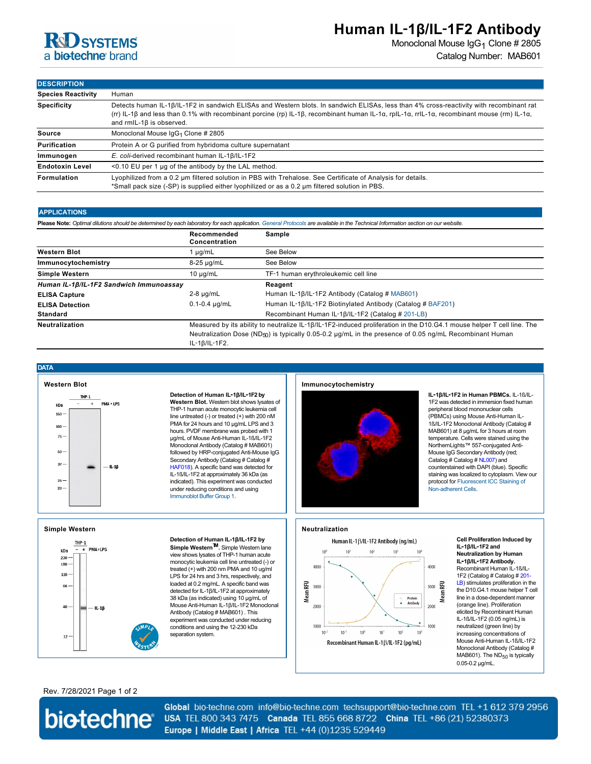

# **Human IL**‑**1β/IL**‑**1F2 Antibody**

Monoclonal Mouse IgG<sub>1</sub> Clone # 2805 Catalog Number: MAB601

**DESCRIPTION**

| <b>Species Reactivity</b> | Human                                                                                                                                                                                                                                                                                                                   |  |  |
|---------------------------|-------------------------------------------------------------------------------------------------------------------------------------------------------------------------------------------------------------------------------------------------------------------------------------------------------------------------|--|--|
| <b>Specificity</b>        | Detects human IL-1B/IL-1F2 in sandwich ELISAs and Western blots. In sandwich ELISAs, less than 4% cross-reactivity with recombinant rat<br>(rr) IL-1β and less than 0.1% with recombinant porcine (rp) IL-1β, recombinant human IL-1α, rpIL-1α, rrIL-1α, recombinant mouse (rm) IL-1α,<br>and $rmL-1\beta$ is observed. |  |  |
| Source                    | Monoclonal Mouse IgG <sub>1</sub> Clone # 2805                                                                                                                                                                                                                                                                          |  |  |
| <b>Purification</b>       | Protein A or G purified from hybridoma culture supernatant                                                                                                                                                                                                                                                              |  |  |
| Immunogen                 | E. coli-derived recombinant human IL-1 $\beta$ /IL-1F2                                                                                                                                                                                                                                                                  |  |  |
| <b>Endotoxin Level</b>    | $\leq$ 0.10 EU per 1 µg of the antibody by the LAL method.                                                                                                                                                                                                                                                              |  |  |
| Formulation               | Lyophilized from a 0.2 um filtered solution in PBS with Trehalose. See Certificate of Analysis for details.<br>*Small pack size (-SP) is supplied either lyophilized or as a 0.2 um filtered solution in PBS.                                                                                                           |  |  |

### **APPLICATIONS**

| ALL LIVATIVING.                                                                                                                                                                   |                              |                                                                                                                                                                                                                                                    |  |  |
|-----------------------------------------------------------------------------------------------------------------------------------------------------------------------------------|------------------------------|----------------------------------------------------------------------------------------------------------------------------------------------------------------------------------------------------------------------------------------------------|--|--|
| Please Note: Optimal dilutions should be determined by each laboratory for each application. General Protocols are available in the Technical Information section on our website. |                              |                                                                                                                                                                                                                                                    |  |  |
|                                                                                                                                                                                   | Recommended<br>Concentration | Sample                                                                                                                                                                                                                                             |  |  |
| <b>Western Blot</b>                                                                                                                                                               | 1 µg/mL                      | See Below                                                                                                                                                                                                                                          |  |  |
| Immunocytochemistry                                                                                                                                                               | 8-25 µg/mL                   | See Below                                                                                                                                                                                                                                          |  |  |
| <b>Simple Western</b>                                                                                                                                                             | $10 \mu q/mL$                | TF-1 human erythroleukemic cell line                                                                                                                                                                                                               |  |  |
| Human IL-1B/IL-1F2 Sandwich Immunoassay                                                                                                                                           |                              | Reagent                                                                                                                                                                                                                                            |  |  |
| <b>ELISA Capture</b>                                                                                                                                                              | $2-8 \mu q/mL$               | Human IL-1 $\beta$ /IL-1F2 Antibody (Catalog # MAB601)                                                                                                                                                                                             |  |  |
| <b>ELISA Detection</b>                                                                                                                                                            | $0.1 - 0.4$ µg/mL            | Human IL-1β/IL-1F2 Biotinylated Antibody (Catalog # BAF201)                                                                                                                                                                                        |  |  |
| <b>Standard</b>                                                                                                                                                                   |                              | Recombinant Human IL-1B/IL-1F2 (Catalog # 201-LB)                                                                                                                                                                                                  |  |  |
| Neutralization                                                                                                                                                                    | IL-18/IL-1F2.                | Measured by its ability to neutralize IL-1B/IL-1F2-induced proliferation in the D10.G4.1 mouse helper T cell line. The<br>Neutralization Dose (ND <sub>50</sub> ) is typically 0.05-0.2 $\mu$ g/mL in the presence of 0.05 ng/mL Recombinant Human |  |  |

**DATA**



**Simple Western**

 $230 -$ 180

 $116 -$ 

 $66 \cdot$ 

40

 $12<sup>1</sup>$ 

THP-1 kDa

PMA+LPS

 $-$ IL-16

#### **Detection of Human IL**‑**1β/IL**‑**1F2 by**

**Western Blot.** Western blot shows lysates of THP-1 human acute monocytic leukemia cell line untreated (-) or treated (+) with 200 nM PMA for 24 hours and 10 µg/mL LPS and 3 hours. PVDF membrane was probed with 1 µg/mL of Mouse Anti-Human IL-1ß/IL-1F2 Monoclonal Antibody (Catalog # MAB601) followed by HRP-conjugated Anti-Mouse IgG Secondary Antibody (Catalog # Catalog # [HAF018](https://www.rndsystems.com/search?keywords=HAF018)). A specific band was detected for IL-1ß/IL-1F2 at approximately 36 kDa (as indicated). This experiment was conducted under reducing conditions and using [Immunoblot Buffer Group 1](http://www.rndsystems.com/resources/technical/western-blot-conditions).

view shows lysates of THP-1 human acute monocytic leukemia cell line untreated (-) or treated (+) with 200 nm PMA and 10 ug/ml LPS for 24 hrs and 3 hrs, respectively, and loaded at 0.2 mg/mL. A specific band was detected for IL-1β/IL-1F2 at approximately 38 kDa (as indicated) using 10 µg/mL of Mouse Anti-Human IL-1β/IL-1F2 Monoclonal Antibody (Catalog # MAB601) . This experiment was conducted under reducing conditions and using the 12-230 kDa

separation system.

### **Immunocytochemistry**



**IL**‑**1β/IL**‑**1F2 in Human PBMCs.** IL-1ß/IL-1F2 was detected in immersion fixed human peripheral blood mononuclear cells (PBMCs) using Mouse Anti-Human IL-1ß/IL-1F2 Monoclonal Antibody (Catalog # MAB601) at 8 µg/mL for 3 hours at room temperature. Cells were stained using the NorthernLights™ 557-conjugated Anti-Mouse IgG Secondary Antibody (red; Catalog # Catalog # [NL007](https://www.rndsystems.com/search?keywords=NL007)) and counterstained with DAPI (blue). Specific staining was localized to cytoplasm. View our [protocol for Fluorescent ICC Staining of](http://www.rndsystems.com/ihc_detail_objectname_fluorescent_icc_non_adherent_cells.aspx) Non-adherent Cells.

## **Neutralization**



**Cell Proliferation Induced by IL**‑**1β/IL**‑**1F2 and Neutralization by Human IL**‑**1β/IL**‑**1F2 Antibody.** Recombinant Human IL-1ß/IL-[1F2 \(Catalog # Catalog # 201-](https://www.rndsystems.com/search?keywords=201-LB) LB) stimulates proliferation in the the D10.G4.1 mouse helper T cell line in a dose-dependent manner (orange line). Proliferation elicited by Recombinant Human IL-1ß/IL-1F2 (0.05 ng/mL) is neutralized (green line) by increasing concentrations of Mouse Anti-Human IL-1ß/IL-1F2 Monoclonal Antibody (Catalog # MAB601). The  $ND_{50}$  is typically 0.05-0.2 µg/mL.

## Rev. 7/28/2021 Page 1 of 2



Global bio-techne.com info@bio-techne.com techsupport@bio-techne.com TEL +1 612 379 2956 USA TEL 800 343 7475 Canada TEL 855 668 8722 China TEL +86 (21) 52380373 Europe | Middle East | Africa TEL +44 (0)1235 529449

# **Detection of Human IL-1β/IL-1F2 by Simple WesternTM.** Simple Western lane